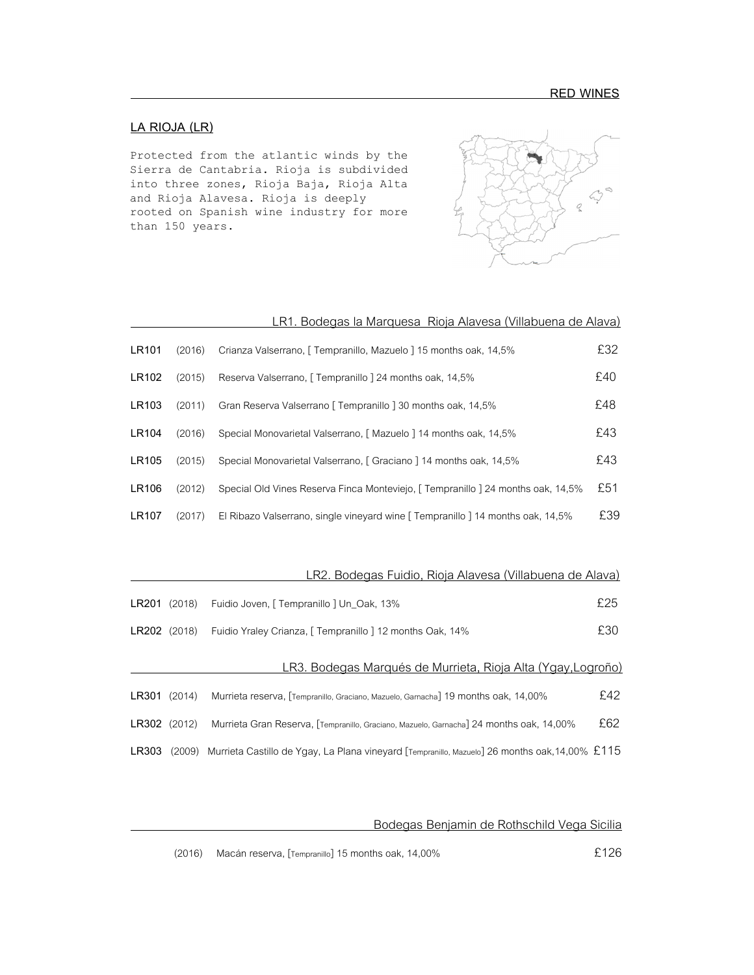## **LA RIOJA (LR)**

Protected from the atlantic winds by the Sierra de Cantabria. Rioja is subdivided into three zones, Rioja Baja, Rioja Alta and Rioja Alavesa. Rioja is deeply rooted on Spanish wine industry for more than 150 years.



|       |        | LR1. Bodegas la Marquesa Rioja Alavesa (Villabuena de Alava)                     |     |
|-------|--------|----------------------------------------------------------------------------------|-----|
| LR101 | (2016) | Crianza Valserrano, [ Tempranillo, Mazuelo ] 15 months oak, 14,5%                | £32 |
| LR102 | (2015) | Reserva Valserrano, [ Tempranillo ] 24 months oak, 14,5%                         | £40 |
| LR103 | (2011) | Gran Reserva Valserrano [ Tempranillo ] 30 months oak, 14,5%                     | £48 |
| LR104 | (2016) | Special Monovarietal Valserrano, [ Mazuelo ] 14 months oak, 14,5%                | £43 |
| LR105 | (2015) | Special Monovarietal Valserrano, [ Graciano ] 14 months oak, 14,5%               | £43 |
| LR106 | (2012) | Special Old Vines Reserva Finca Monteviejo, [ Tempranillo ] 24 months oak, 14,5% | £51 |
| LR107 | (2017) | El Ribazo Valserrano, single vineyard wine [ Tempranillo ] 14 months oak, 14,5%  | £39 |

|              |        | <u>LR2. Bodegas Fuidio, Rioja Alavesa (Villabuena de Alava)</u>                                |     |
|--------------|--------|------------------------------------------------------------------------------------------------|-----|
| LR201        | (2018) | Fuidio Joven, [ Tempranillo ] Un_Oak, 13%                                                      | £25 |
| LR202 (2018) |        | Fuidio Yraley Crianza, [ Tempranillo ] 12 months Oak, 14%                                      | £30 |
|              |        | LR3. Bodegas Marqués de Murrieta, Rioja Alta (Ygay, Logroño)                                   |     |
| LR301        | (2014) | Murrieta reserva, [Tempranillo, Graciano, Mazuelo, Garnacha] 19 months oak, 14,00%             | £42 |
| LR302 (2012) |        | Murrieta Gran Reserva, Tempranillo, Graciano, Mazuelo, Garnacha) 24 months oak, 14,00%         | £62 |
| LR303        | (2009) | Murrieta Castillo de Ygay, La Plana vineyard [Tempranillo, Mazuelo] 26 months oak, 14,00% £115 |     |

Bodegas Benjamin de Rothschild Vega Sicilia

(2016) Macánreserva, [Tempranillo] 15 months oak,14,00%£126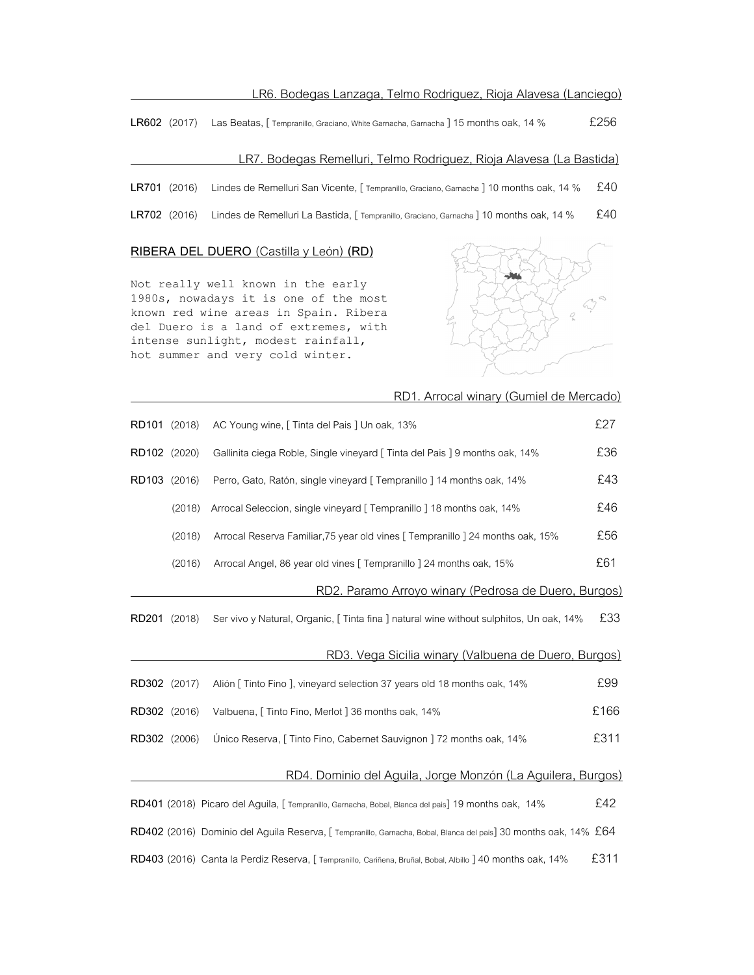### LR6. Bodegas Lanzaga, Telmo Rodriguez, Rioja Alavesa (Lanciego)

LR602 (2017) Las Beatas, [ Tempranillo, Graciano, White Garnacha, Garnacha ] 15 months oak, 14 % £256

#### LR7. Bodegas Remelluri, Telmo Rodriguez, Rioja Alavesa (La Bastida)

LR701 (2016) Lindes de Remelluri San Vicente, [ Tempranillo, Graciano, Garnacha ] 10 months oak, 14 % £40

LR702 (2016) Lindes de Remelluri La Bastida, [ Tempranillo, Graciano, Garnacha ] 10 months oak, 14 % £40

#### **RIBERA DEL DUERO** (Castilla y León) **(RD)**

Not really well known in the early 1980s, nowadays it is one of the most known red wine areas in Spain. Ribera del Duero is a land of extremes, with intense sunlight, modest rainfall, hot summer and very cold winter.



|              |        | RD1. Arrocal winary (Gumiel de Mercado)                                                                          |      |
|--------------|--------|------------------------------------------------------------------------------------------------------------------|------|
| RD101 (2018) |        | AC Young wine, [ Tinta del Pais ] Un oak, 13%                                                                    | £27  |
| RD102 (2020) |        | Gallinita ciega Roble, Single vineyard [ Tinta del Pais ] 9 months oak, 14%                                      | £36  |
| RD103 (2016) |        | Perro, Gato, Ratón, single vineyard [ Tempranillo ] 14 months oak, 14%                                           | £43  |
|              | (2018) | Arrocal Seleccion, single vineyard [ Tempranillo ] 18 months oak, 14%                                            | £46  |
|              | (2018) | Arrocal Reserva Familiar, 75 year old vines [ Tempranillo ] 24 months oak, 15%                                   | £56  |
|              | (2016) | Arrocal Angel, 86 year old vines [ Tempranillo ] 24 months oak, 15%                                              | £61  |
|              |        | RD2. Paramo Arroyo winary (Pedrosa de Duero, Burgos)                                                             |      |
| RD201 (2018) |        | Ser vivo y Natural, Organic, [Tinta fina ] natural wine without sulphitos, Un oak, 14%                           | £33  |
|              |        | RD3. Vega Sicilia winary (Valbuena de Duero, Burgos)                                                             |      |
| RD302 (2017) |        | Alión [ Tinto Fino ], vineyard selection 37 years old 18 months oak, 14%                                         | £99  |
| RD302 (2016) |        | Valbuena, [ Tinto Fino, Merlot ] 36 months oak, 14%                                                              | £166 |
| RD302 (2006) |        | Único Reserva, [ Tinto Fino, Cabernet Sauvignon ] 72 months oak, 14%                                             | £311 |
|              |        | RD4. Dominio del Aguila, Jorge Monzón (La Aguilera, Burgos)                                                      |      |
|              |        | RD401 (2018) Picaro del Aguila, [Tempranillo, Garnacha, Bobal, Blanca del pais] 19 months oak, 14%               | £42  |
|              |        | RD402 (2016) Dominio del Aguila Reserva, [ Tempranillo, Garnacha, Bobal, Blanca del pais] 30 months oak, 14% £64 |      |
|              |        | RD403 (2016) Canta la Perdiz Reserva, [Tempranillo, Cariñena, Bruñal, Bobal, Albillo 140 months oak, 14%         | £311 |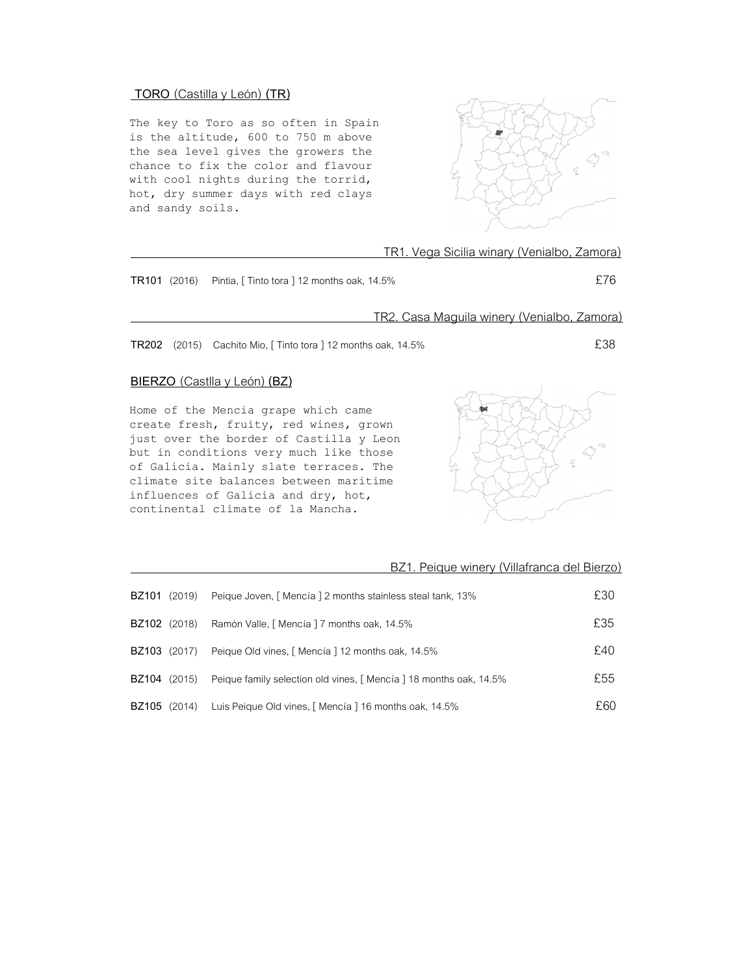# **TORO** (Castilla y León) **(TR)**

The key to Toro as so often in Spain is the altitude, 600 to 750 m above the sea level gives the growers the chance to fix the color and flavour with cool nights during the torrid, hot, dry summer days with red clays and sandy soils.



|                                                                                                                                                                                                                                                                                                                                    |                                                              | TR1. Vega Sicilia winary (Venialbo, Zamora) |
|------------------------------------------------------------------------------------------------------------------------------------------------------------------------------------------------------------------------------------------------------------------------------------------------------------------------------------|--------------------------------------------------------------|---------------------------------------------|
|                                                                                                                                                                                                                                                                                                                                    | TR101 (2016) Pintia, [Tinto tora ] 12 months oak, 14.5%      | £76                                         |
|                                                                                                                                                                                                                                                                                                                                    | <u>TR2. Casa Maguila winery (Venialbo, Zamora)</u>           |                                             |
|                                                                                                                                                                                                                                                                                                                                    | TR202 (2015) Cachito Mio, [Tinto tora ] 12 months oak, 14.5% | £38                                         |
|                                                                                                                                                                                                                                                                                                                                    | <b>BIERZO</b> (Castlla y León) (BZ)                          |                                             |
| Home of the Mencia grape which came<br>create fresh, fruity, red wines, grown<br>just over the border of Castilla y Leon<br>but in conditions very much like those<br>of Galicia. Mainly slate terraces. The<br>climate site balances between maritime<br>influences of Galicia and dry, hot,<br>continental climate of la Mancha. |                                                              |                                             |
|                                                                                                                                                                                                                                                                                                                                    |                                                              | BZ1. Peique winery (Villafranca del Bierzo) |
| <b>BZ101</b> (2019)                                                                                                                                                                                                                                                                                                                | Peique Joven, [Mencía ] 2 months stainless steal tank, 13%   | £30                                         |
| <b>BZ102</b> (2018)                                                                                                                                                                                                                                                                                                                | Ramón Valle, [ Mencía ] 7 months oak, 14.5%                  | £35                                         |
| BZ103 (2017)                                                                                                                                                                                                                                                                                                                       | Peique Old vines, [ Mencía ] 12 months oak, 14.5%            | £40                                         |

**BZ105** (2014) Luis Peique Old vines, [Mencía ] 16 months oak, 14.5%

**BZ104** (2015) Peique family selection old vines, [Mencía ] 18 months oak, 14.5% **E**55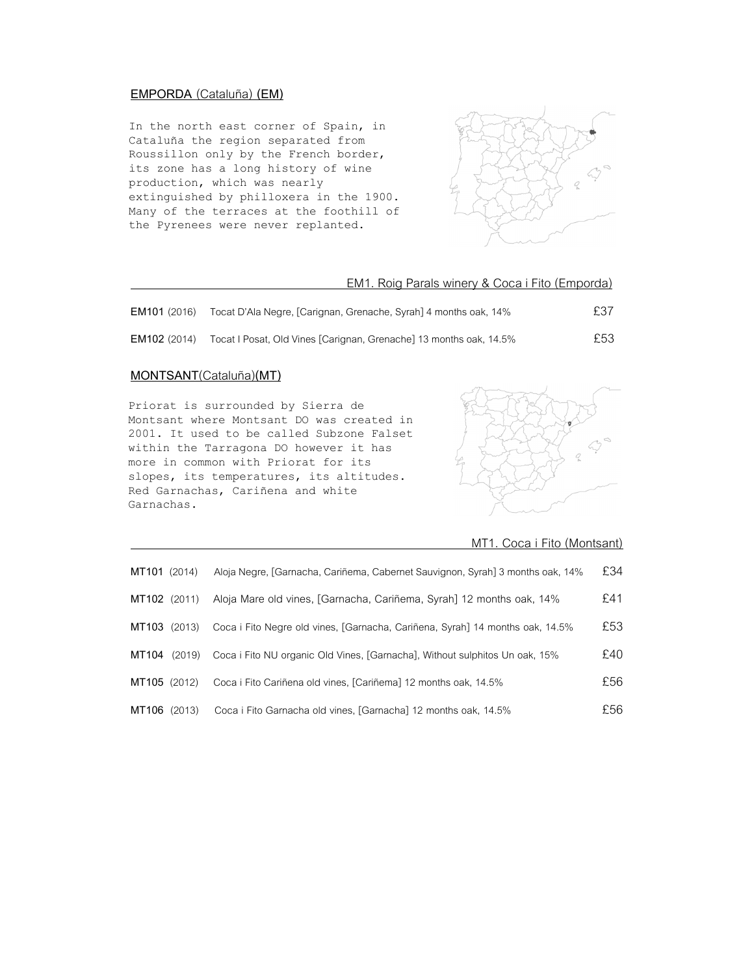## **EMPORDA** (Cataluña) **(EM)**

In the north east corner of Spain, in Cataluña the region separated from Roussillon only by the French border, its zone has a long history of wine production, which was nearly extinguished by philloxera in the 1900. Many of the terraces at the foothill of the Pyrenees were never replanted.



### EM1. Roig Parals winery & Coca i Fito (Emporda)

| <b>EM101</b> (2016) | Tocat D'Ala Negre, [Carignan, Grenache, Syrah] 4 months oak, 14%   | £37 |
|---------------------|--------------------------------------------------------------------|-----|
| EM102 (2014)        | Tocat I Posat, Old Vines [Carignan, Grenache] 13 months oak, 14.5% | £53 |

## **MONTSANT**(Cataluña)**(MT)**

Priorat is surrounded by Sierra de Montsant where Montsant DO was created in 2001. It used to be called Subzone Falset within the Tarragona DO however it has more in common with Priorat for its slopes, its temperatures, its altitudes. Red Garnachas, Cariñena and white Garnachas.



### MT1. Coca i Fito (Montsant)

| MT101 (2014) | Aloja Negre, [Garnacha, Cariñema, Cabernet Sauvignon, Syrah] 3 months oak, 14% | £34  |
|--------------|--------------------------------------------------------------------------------|------|
| MT102 (2011) | Aloja Mare old vines, [Garnacha, Cariñema, Syrah] 12 months oak, 14%           | £41  |
| MT103 (2013) | Coca i Fito Negre old vines, [Garnacha, Cariñena, Syrah] 14 months oak, 14.5%  | £53  |
| MT104 (2019) | Coca i Fito NU organic Old Vines, [Garnacha], Without sulphitos Un oak, 15%    | £40  |
| MT105 (2012) | Coca i Fito Cariñena old vines, [Cariñema] 12 months oak, 14.5%                | £56  |
| MT106 (2013) | Coca i Fito Garnacha old vines, [Garnacha] 12 months oak, 14.5%                | £56. |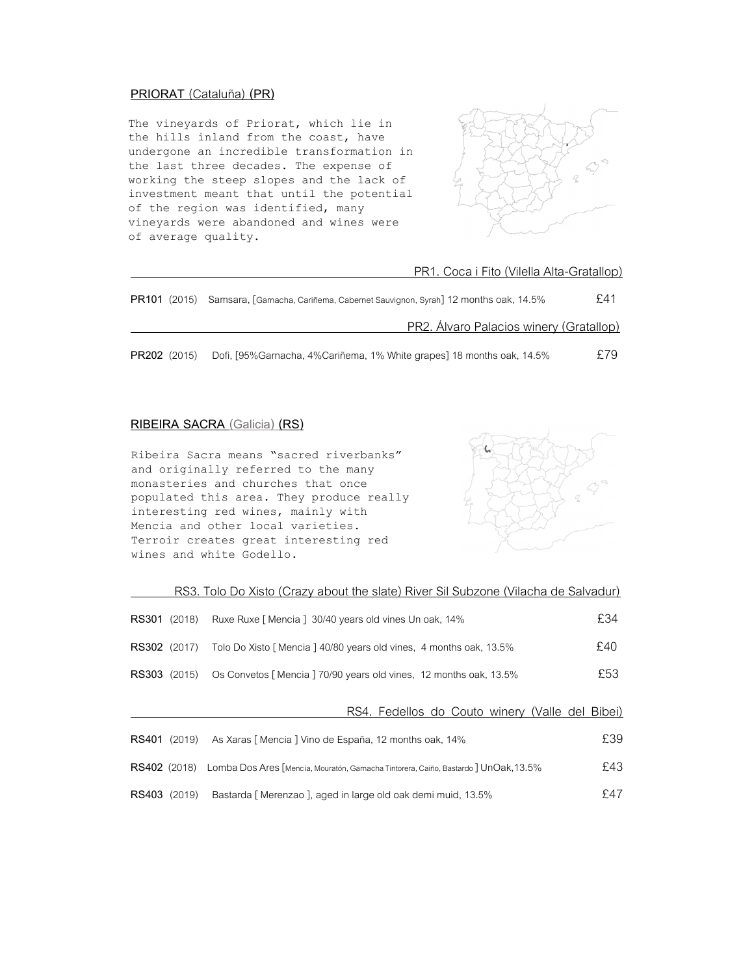## **PRIORAT** (Cataluña) **(PR)**

The vineyards of Priorat, which lie in the hills inland from the coast, have undergone an incredible transformation in the last three decades. The expense of working the steep slopes and the lack of investment meant that until the potential of the region was identified, many vineyards were abandoned and wines were of average quality.



| PR1. Coca i Fito (Vilella Alta-Gratallop) |
|-------------------------------------------|
|                                           |

| <b>PR101</b> (2015) | Samsara, [Garnacha, Cariñema, Cabernet Sauvignon, Syrah] 12 months oak, 14.5% |     |  |
|---------------------|-------------------------------------------------------------------------------|-----|--|
|                     | PR2. Álvaro Palacios winery (Gratallop)                                       |     |  |
| PR202 (2015)        | Dofi, [95%Garnacha, 4%Cariñema, 1% White grapes] 18 months oak, 14.5%         | £79 |  |

### **RIBEIRA SACRA (Galicia) (RS)**

Ribeira Sacra means "sacred riverbanks" and originally referred to the many monasteries and churches that once populated this area. They produce really interesting red wines, mainly with Mencia and other local varieties. Terroir creates great interesting red wines and white Godello.



| RS3. Tolo Do Xisto (Crazy about the slate) River Sil Subzone (Vilacha de Salvadur) |  |
|------------------------------------------------------------------------------------|--|
|                                                                                    |  |

| <b>RS301</b> (2018) |        | Ruxe Ruxe [ Mencia ] 30/40 years old vines Un oak, 14%                                           | £34 |
|---------------------|--------|--------------------------------------------------------------------------------------------------|-----|
| <b>RS302</b> (2017) |        | Tolo Do Xisto [Mencia ] 40/80 years old vines, 4 months oak, 13.5%                               | £40 |
| <b>RS303</b> (2015) |        | Os Convetos [Mencia ] 70/90 years old vines, 12 months oak, 13.5%                                | £53 |
|                     |        | RS4. Fedellos do Couto winery (Valle del Bibei)                                                  |     |
| <b>RS401</b> (2019) |        | As Xaras [ Mencia ] Vino de España, 12 months oak, 14%                                           | £39 |
|                     |        | RS402 (2018) Lomba Dos Ares [Mencía, Mouratón, Garnacha Tintorera, Caiño, Bastardo] UnOak, 13.5% | £43 |
| RS403               | (2019) | Bastarda [Merenzao], aged in large old oak demi muid, 13.5%                                      | £47 |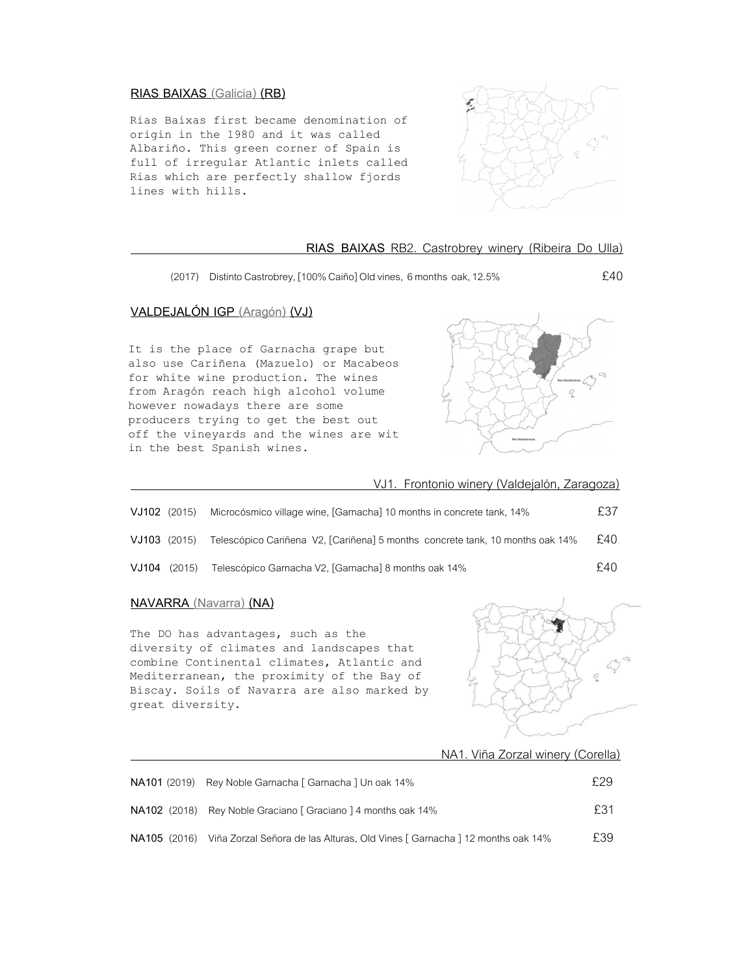#### **RIAS BAIXAS (Galicia) (RB)**

Rias Baixas first became denomination of origin in the 1980 and it was called Albariño. This green corner of Spain is full of irregular Atlantic inlets called Rias which are perfectly shallow fjords lines with hills.



#### **RIAS BAIXAS** RB2. Castrobrey winery (Ribeira Do Ulla)

(2017) Distinto Castrobrey, [100% Caiño] Old vines, 6 months oak, 12.5% £40

# **VALDEJALÓN IGP (Aragón) (VJ)**

It is the place of Garnacha grape but also use Cariñena (Mazuelo) or Macabeos for white wine production. The wines from Aragón reach high alcohol volume however nowadays there are some producers trying to get the best out off the vineyards and the wines are wit in the best Spanish wines.



VJ1. Frontonio winery (Valdejalón, Zaragoza)

| VJ102 (2015)   | Microcósmico village wine, [Garnacha] 10 months in concrete tank, 14%         | £37 |
|----------------|-------------------------------------------------------------------------------|-----|
| $VJ103$ (2015) | Telescópico Cariñena V2, [Cariñena] 5 months concrete tank, 10 months oak 14% | £40 |
| $VJ104$ (2015) | Telescópico Garnacha V2, [Garnacha] 8 months oak 14%                          | £40 |

### **NAVARRA (Navarra) (NA)**

The DO has advantages, such as the diversity of climates and landscapes that combine Continental climates, Atlantic and Mediterranean, the proximity of the Bay of Biscay. Soils of Navarra are also marked by great diversity.



NA1. Viña Zorzal winery (Corella)

| NA101 (2019) Rey Noble Garnacha [ Garnacha ] Un oak 14%                                  | £29 |
|------------------------------------------------------------------------------------------|-----|
| NA102 (2018) Rey Noble Graciano [ Graciano ] 4 months oak 14%                            | £31 |
| NA105 (2016) Viña Zorzal Señora de las Alturas, Old Vines [ Garnacha ] 12 months oak 14% | £39 |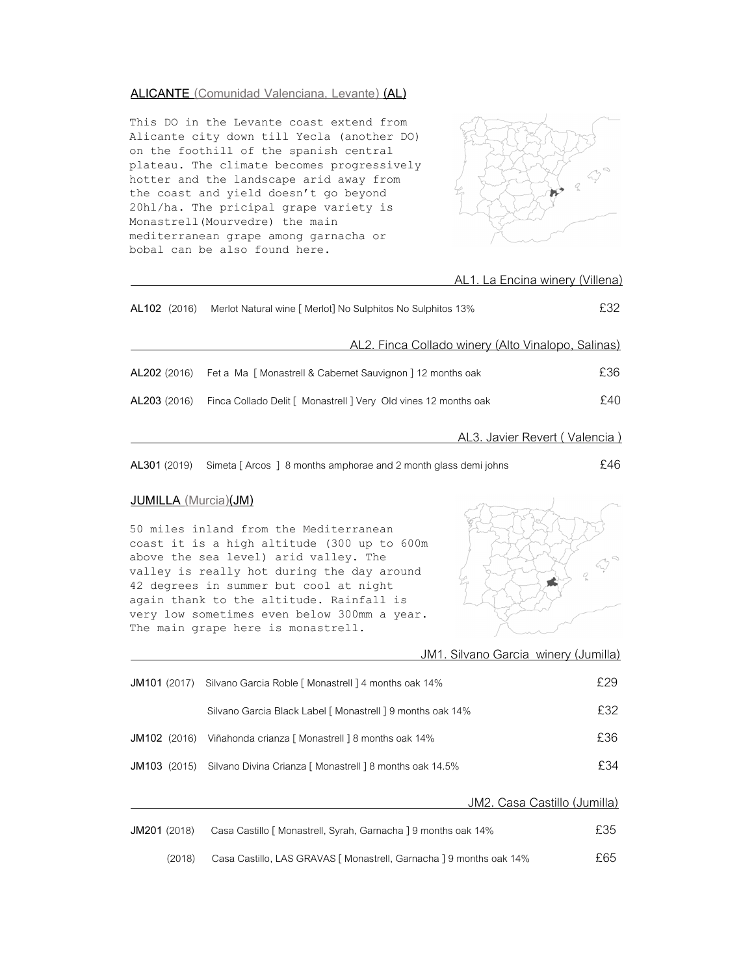#### **ALICANTE (Comunidad Valenciana, Levante) (AL)**

This DO in the Levante coast extend from Alicante city down till Yecla (another DO) on the foothill of the spanish central plateau. The climate becomes progressively hotter and the landscape arid away from the coast and yield doesn't go beyond 20hl/ha. The pricipal grape variety is Monastrell(Mourvedre) the main mediterranean grape among garnacha or bobal can be also found here.



|              | AL1. La Encina winery (Villena)                                 |     |
|--------------|-----------------------------------------------------------------|-----|
| AL102 (2016) | Merlot Natural wine [ Merlot] No Sulphitos No Sulphitos 13%     | £32 |
|              | AL2. Finca Collado winery (Alto Vinalopo, Salinas)              |     |
| AL202 (2016) | Fet a Ma [Monastrell & Cabernet Sauvignon ] 12 months oak       | £36 |
| AL203 (2016) | Finca Collado Delit [ Monastrell ] Very Old vines 12 months oak | £40 |
|              | AL3. Javier Revert (Valencia)                                   |     |

**AL301**(2019) Simeta [ Arcos ] 8 months amphorae and 2 month glass demi johns £46

## **JUMILLA (Murcia)(JM)**

50 miles inland from the Mediterranean coast it is a high altitude (300 up to 600m above the sea level) arid valley. The valley is really hot during the day around 42 degrees in summer but cool at night again thank to the altitude. Rainfall is very low sometimes even below 300mm a year. The main grape here is monastrell.



JM1. Silvano Garcia winery (Jumilla)

| <b>JM101</b> (2017) | Silvano Garcia Roble [ Monastrell ] 4 months oak 14%       | £29 |
|---------------------|------------------------------------------------------------|-----|
|                     | Silvano Garcia Black Label [ Monastrell ] 9 months oak 14% | £32 |
| <b>JM102</b> (2016) | Viñahonda crianza [ Monastrell ] 8 months oak 14%          | £36 |
| <b>JM103</b> (2015) | Silvano Divina Crianza [ Monastrell ] 8 months oak 14.5%   | £34 |
|                     |                                                            |     |

JM2. Casa Castillo (Jumilla)

| <b>JM201</b> (2018) | Casa Castillo [ Monastrell, Syrah, Garnacha ] 9 months oak 14%     | £35 |
|---------------------|--------------------------------------------------------------------|-----|
| (2018)              | Casa Castillo, LAS GRAVAS [Monastrell, Garnacha ] 9 months oak 14% | £65 |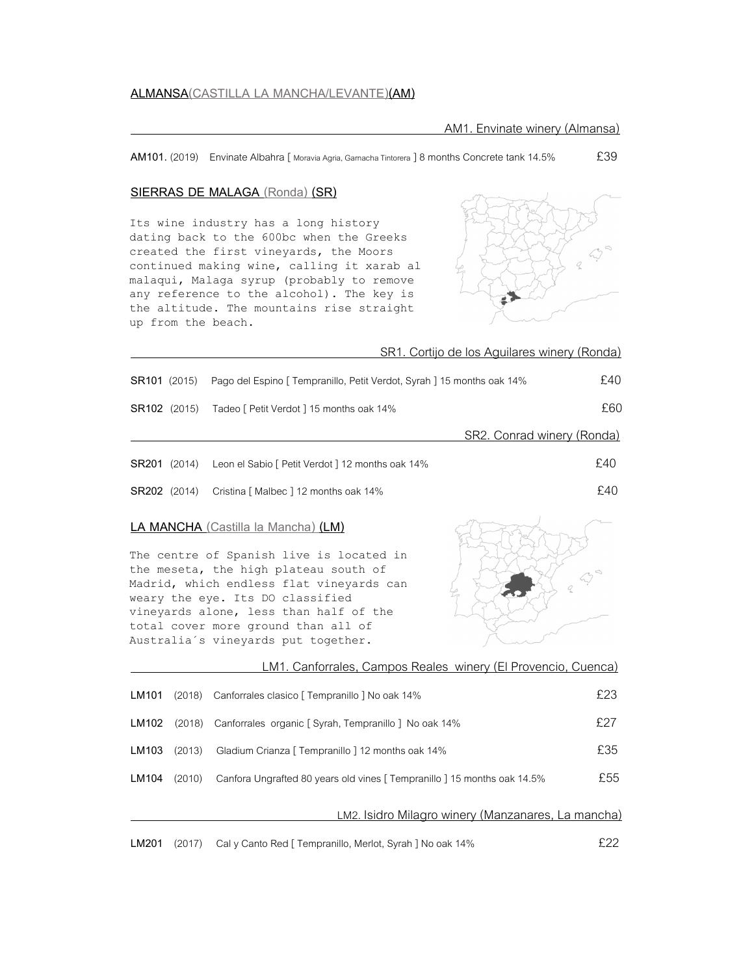#### **SIERRAS DE MALAGA (Ronda) (SR)**

Its wine industry has a long history dating back to the 600bc when the Greeks created the first vineyards, the Moors continued making wine, calling it xarab al malaqui, Malaga syrup (probably to remove any reference to the alcohol). The key is the altitude. The mountains rise straight up from the beach.



|              |        | SR1. Cortijo de los Aguilares winery (Ronda)                                                                                                                                                                                                                                                                                            |     |
|--------------|--------|-----------------------------------------------------------------------------------------------------------------------------------------------------------------------------------------------------------------------------------------------------------------------------------------------------------------------------------------|-----|
| SR101 (2015) |        | Pago del Espino [ Tempranillo, Petit Verdot, Syrah ] 15 months oak 14%                                                                                                                                                                                                                                                                  | £40 |
| SR102 (2015) |        | Tadeo [ Petit Verdot ] 15 months oak 14%                                                                                                                                                                                                                                                                                                | £60 |
|              |        | SR2. Conrad winery (Ronda)                                                                                                                                                                                                                                                                                                              |     |
| SR201 (2014) |        | Leon el Sabio [ Petit Verdot ] 12 months oak 14%                                                                                                                                                                                                                                                                                        | £40 |
| SR202 (2014) |        | Cristina [ Malbec ] 12 months oak 14%                                                                                                                                                                                                                                                                                                   | £40 |
|              |        | <b>LA MANCHA</b> (Castilla la Mancha) (LM)<br>The centre of Spanish live is located in<br>the meseta, the high plateau south of<br>Madrid, which endless flat vineyards can<br>weary the eye. Its DO classified<br>vineyards alone, less than half of the<br>total cover more ground than all of<br>Australia's vineyards put together. |     |
|              |        | LM1. Canforrales, Campos Reales winery (El Provencio, Cuenca)                                                                                                                                                                                                                                                                           |     |
| LM101        | (2018) | Canforrales clasico [ Tempranillo ] No oak 14%                                                                                                                                                                                                                                                                                          | £23 |
| LM102        | (2018) | Canforrales organic [ Syrah, Tempranillo ] No oak 14%                                                                                                                                                                                                                                                                                   | £27 |
| LM103        | (2013) | Gladium Crianza [ Tempranillo ] 12 months oak 14%                                                                                                                                                                                                                                                                                       | £35 |
| LM104        | (2010) | Canfora Ungrafted 80 years old vines [ Tempranillo ] 15 months oak 14.5%                                                                                                                                                                                                                                                                | £55 |
|              |        | LM2. Isidro Milagro winery (Manzanares, La mancha)                                                                                                                                                                                                                                                                                      |     |
| LM201        | (2017) | Cal y Canto Red [ Tempranillo, Merlot, Syrah ] No oak 14%                                                                                                                                                                                                                                                                               | £22 |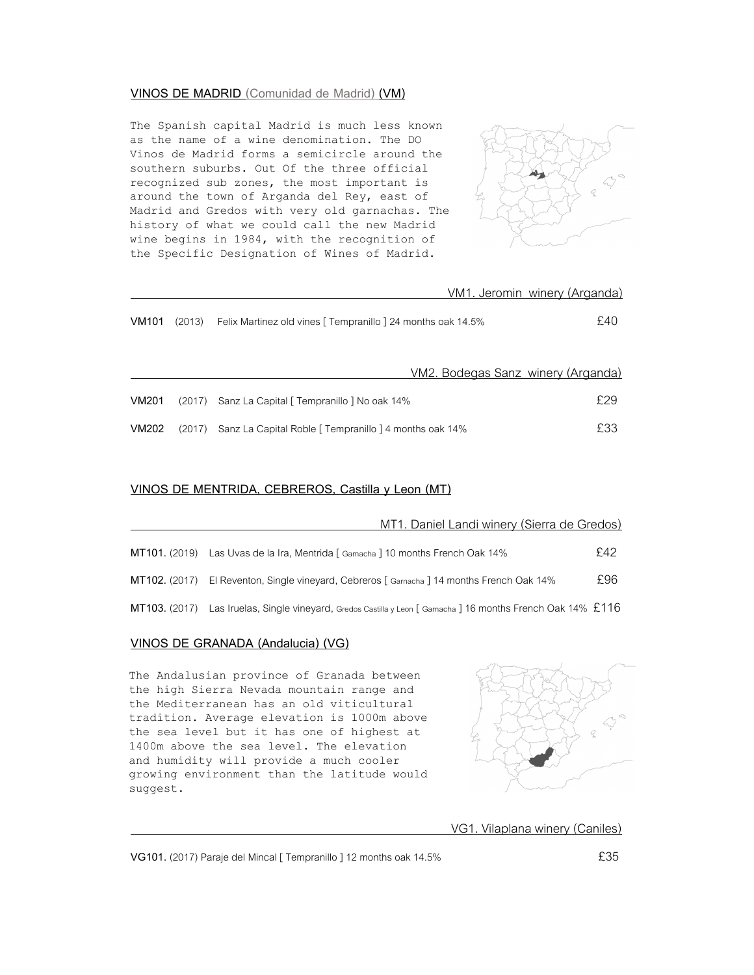#### **VINOS DE MADRID (Comunidad de Madrid) (VM)**

The Spanish capital Madrid is much less known as the name of a wine denomination. The DO Vinos de Madrid forms a semicircle around the southern suburbs. Out Of the three official recognized sub zones, the most important is around the town of Arganda del Rey, east of Madrid and Gredos with very old garnachas. The history of what we could call the new Madrid wine begins in 1984, with the recognition of the Specific Designation of Wines of Madrid.



|       |        | VM1. Jeromin winery (Arganda)                                |     |
|-------|--------|--------------------------------------------------------------|-----|
| VM101 | (2013) | Felix Martinez old vines [ Tempranillo ] 24 months oak 14.5% | £40 |
|       |        | VM2. Bodegas Sanz winery (Arganda)                           |     |
| VM201 | (2017) | Sanz La Capital [ Tempranillo ] No oak 14%                   | £29 |
| VM202 | (2017) | Sanz La Capital Roble [ Tempranillo ] 4 months oak 14%       | £33 |

## **VINOS DE MENTRIDA, CEBREROS, Castilla y Leon (MT)**

|               | MT1. Daniel Landi winery (Sierra de Gredos)                                                                    |     |
|---------------|----------------------------------------------------------------------------------------------------------------|-----|
| MT101. (2019) | Las Uvas de la Ira, Mentrida [ Gamacha ] 10 months French Oak 14%                                              | £42 |
|               | MT102. (2017) El Reventon, Single vineyard, Cebreros [Gamacha ] 14 months French Oak 14%                       | £96 |
| MT103. (2017) | Las Iruelas, Single vineyard, Gredos Castilla y Leon [ Garnacha ] 16 months French Oak 14% $\text{\pounds}116$ |     |

### **VINOS DE GRANADA (Andalucia) (VG)**

The Andalusian province of Granada between the high Sierra Nevada mountain range and the Mediterranean has an old viticultural tradition. Average elevation is 1000m above the sea level but it has one of highest at 1400m above the sea level. The elevation and humidity will provide a much cooler growing environment than the latitude would suggest.



VG1. Vilaplana winery (Caniles)

**VG101.** (2017) Paraje del Mincal [ Tempranillo ] 12 months oak 14.5% **EXALLE 100 EM**